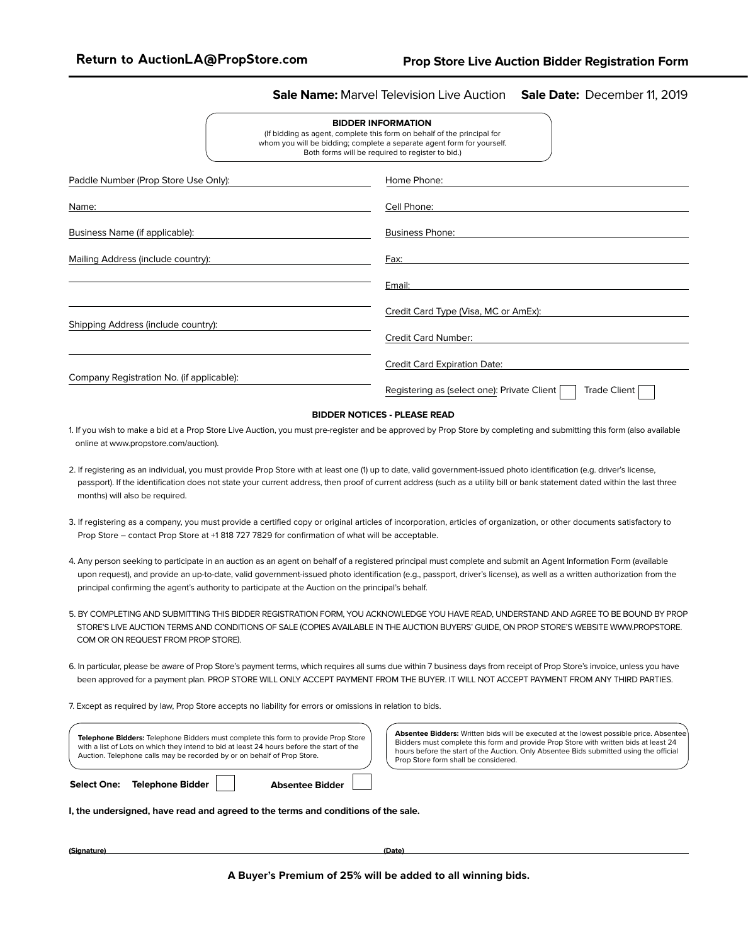### **Sale Name:** Marvel Television Live Auction **Sale Date:** December 11, 2019

| <b>BIDDER INFORMATION</b>                                               |
|-------------------------------------------------------------------------|
| (If bidding as agent, complete this form on behalf of the principal for |
| whom you will be bidding; complete a separate agent form for yourself.  |
| Both forms will be required to register to bid.)                        |

| Paddle Number (Prop Store Use Only):      | Home Phone:                                                 |
|-------------------------------------------|-------------------------------------------------------------|
| Name:                                     | Cell Phone:                                                 |
| Business Name (if applicable):            | <b>Business Phone:</b>                                      |
| Mailing Address (include country):        | Fax:                                                        |
|                                           | Email:                                                      |
|                                           | Credit Card Type (Visa, MC or AmEx):                        |
| Shipping Address (include country):       | <b>Credit Card Number:</b>                                  |
|                                           | <b>Credit Card Expiration Date:</b>                         |
| Company Registration No. (if applicable): | Trade Client<br>Registering as (select one): Private Client |
|                                           |                                                             |

### **BIDDER NOTICES - PLEASE READ**

- 1. If you wish to make a bid at a Prop Store Live Auction, you must pre-register and be approved by Prop Store by completing and submitting this form (also available online at www.propstore.com/auction).
- 2. If registering as an individual, you must provide Prop Store with at least one (1) up to date, valid government-issued photo identification (e.g. driver's license, passport). If the identification does not state your current address, then proof of current address (such as a utility bill or bank statement dated within the last three months) will also be required.
- 3. If registering as a company, you must provide a certified copy or original articles of incorporation, articles of organization, or other documents satisfactory to Prop Store – contact Prop Store at +1 818 727 7829 for confirmation of what will be acceptable.
- 4. Any person seeking to participate in an auction as an agent on behalf of a registered principal must complete and submit an Agent Information Form (available upon request), and provide an up-to-date, valid government-issued photo identification (e.g., passport, driver's license), as well as a written authorization from the principal confirming the agent's authority to participate at the Auction on the principal's behalf.
- 5. BY COMPLETING AND SUBMITTING THIS BIDDER REGISTRATION FORM, YOU ACKNOWLEDGE YOU HAVE READ, UNDERSTAND AND AGREE TO BE BOUND BY PROP STORE'S LIVE AUCTION TERMS AND CONDITIONS OF SALE (COPIES AVAILABLE IN THE AUCTION BUYERS' GUIDE, ON PROP STORE'S WEBSITE WWW.PROPSTORE. COM OR ON REQUEST FROM PROP STORE).
- 6. In particular, please be aware of Prop Store's payment terms, which requires all sums due within 7 business days from receipt of Prop Store's invoice, unless you have been approved for a payment plan. PROP STORE WILL ONLY ACCEPT PAYMENT FROM THE BUYER. IT WILL NOT ACCEPT PAYMENT FROM ANY THIRD PARTIES.
- 7. Except as required by law, Prop Store accepts no liability for errors or omissions in relation to bids.

| <b>Telephone Bidders:</b> Telephone Bidders must complete this form to provide Prop Store<br>with a list of Lots on which they intend to bid at least 24 hours before the start of the<br>Auction. Telephone calls may be recorded by or on behalf of Prop Store. |                                                                                          |  | <b>Absentee Bidders:</b> Written bids will be executed at the lowest possible price. Absentee<br>Bidders must complete this form and provide Prop Store with written bids at least 24<br>hours before the start of the Auction. Only Absentee Bids submitted using the official<br>Prop Store form shall be considered. |  |  |  |  |
|-------------------------------------------------------------------------------------------------------------------------------------------------------------------------------------------------------------------------------------------------------------------|------------------------------------------------------------------------------------------|--|-------------------------------------------------------------------------------------------------------------------------------------------------------------------------------------------------------------------------------------------------------------------------------------------------------------------------|--|--|--|--|
|                                                                                                                                                                                                                                                                   | <b>Telephone Bidder</b><br><b>Absentee Bidder</b><br><b>Select One:</b>                  |  |                                                                                                                                                                                                                                                                                                                         |  |  |  |  |
|                                                                                                                                                                                                                                                                   | وامو وطفكم ومعاناتهموم لهمو ومسوية وطفرها امووسوم لهموا وووسوس ويحمل الموسون سامرس ومافر |  |                                                                                                                                                                                                                                                                                                                         |  |  |  |  |

**I, the undersigned, have read and agreed to the terms and conditions of the sale.** 

**(Signature) (Date)**

**A Buyer's Premium of 25% will be added to all winning bids.**